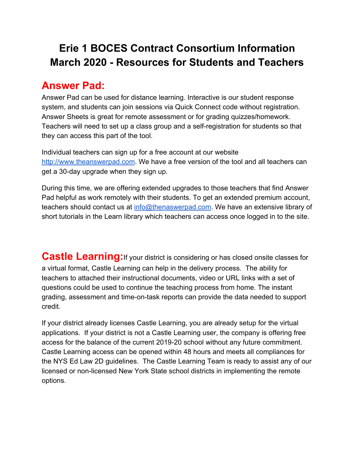# **Erie 1 BOCES Contract Consortium Information March 2020 - Resources for Students and Teachers**

## **Answer Pad:**

Answer Pad can be used for distance learning. Interactive is our student response system, and students can join sessions via Quick Connect code without registration. Answer Sheets is great for remote assessment or for grading quizzes/homework. Teachers will need to set up a class group and a self-registration for students so that they can access this part of the tool.

Individual teachers can sign up for a free account at our website [http://www.theanswerpad.com](http://www.theanswerpad.com/). We have a free version of the tool and all teachers can get a 30-day upgrade when they sign up.

During this time, we are offering extended upgrades to those teachers that find Answer Pad helpful as work remotely with their students. To get an extended premium account, teachers should contact us at [info@thenaswerpad.com](mailto:info@thenaswerpad.com). We have an extensive library of short tutorials in the Learn library which teachers can access once logged in to the site.

**Castle Learning:** If your district is considering or has closed onsite classes for a virtual format, Castle Learning can help in the delivery process. The ability for teachers to attached their instructional documents, video or URL links with a set of questions could be used to continue the teaching process from home. The instant grading, assessment and time-on-task reports can provide the data needed to support credit.

If your district already licenses Castle Learning, you are already setup for the virtual applications. If your district is not a Castle Learning user, the company is offering free access for the balance of the current 2019-20 school without any future commitment. Castle Learning access can be opened within 48 hours and meets all compliances for the NYS Ed Law 2D guidelines. The Castle Learning Team is ready to assist any of our licensed or non-licensed New York State school districts in implementing the remote options.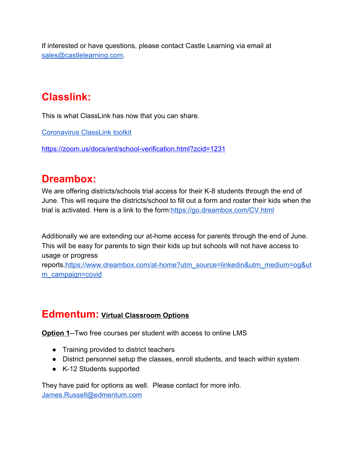If interested or have questions, please contact Castle Learning via email at [sales@castlelearning.com](mailto:sales@castlelearning.com).

# **Classlink:**

This is what ClassLink has now that you can share.

[Coronavirus ClassLink toolkit](https://milton-web.wnyric.org/canit/urlproxy.php?_q=aHR0cHM6Ly9kb2NzLmdvb2dsZS5jb20vZG9jdW1lbnQvZC8xQ1AtNm9hWVdRWDMweXB6eUFDWEpyTks2OWctc0RmaEZ3ZGdCb1dNemhJYy9lZGl0&_s=ZXJpZTE%3D&_c=1312cd9e)

[https://zoom.us/docs/ent/school-verification.html?zcid=1231](https://milton-web.wnyric.org/canit/urlproxy.php?_q=aHR0cHM6Ly96b29tLnVzL2RvY3MvZW50L3NjaG9vbC12ZXJpZmljYXRpb24uaHRtbD96Y2lkPTEyMzE%3D&_s=ZXJpZTE%3D&_c=79fd8e76)

## **Dreambox:**

We are offering districts/schools trial access for their K-8 students through the end of June. This will require the districts/school to fill out a form and roster their kids when the trial is activated. Here is a link to the form: <https://go.dreambox.com/CV.html>

Additionally we are extending our at-home access for parents through the end of June. This will be easy for parents to sign their kids up but schools will not have access to usage or progress

reports[.https://www.dreambox.com/at-home?utm\\_source=linkedin&utm\\_medium=og&ut](https://www.dreambox.com/at-home?utm_source=linkedin&utm_medium=og&utm_campaign=covid) [m\\_campaign=covid](https://www.dreambox.com/at-home?utm_source=linkedin&utm_medium=og&utm_campaign=covid)

### **Edmentum: Virtual Classroom Options**

**Option 1**--Two free courses per student with access to online LMS

- Training provided to district teachers
- District personnel setup the classes, enroll students, and teach within system
- K-12 Students supported

They have paid for options as well. Please contact for more info. [James.Russell@edmentum.com](mailto:James.Russell@edmentum.com)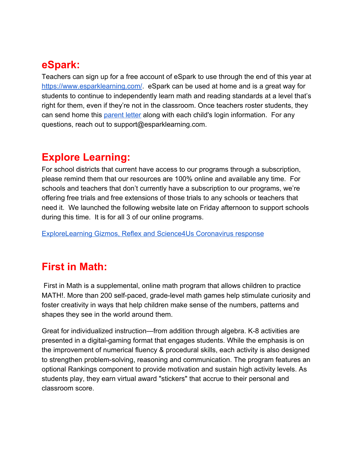## **eSpark:**

Teachers can sign up for a free account of eSpark to use through the end of this year at [https://www.esparklearning.com/](https://milton-web.wnyric.org/canit/urlproxy.php?_q=aHR0cHM6Ly93d3cuZXNwYXJrbGVhcm5pbmcuY29tLw%3D%3D&_s=ZXJpZTE%3D&_c=7851075c). eSpark can be used at home and is a great way for students to continue to independently learn math and reading standards at a level that's right for them, even if they're not in the classroom. Once teachers roster students, they can send home thi[s](https://milton-web.wnyric.org/canit/urlproxy.php?_q=aHR0cHM6Ly9kb2NzLmdvb2dsZS5jb20vZG9jdW1lbnQvZC8xZDFHY3ZGLXFPUFFBSHp2TUpoRXU4bUdJV3BUSE4wTVRlUTJZaF8wQTJlVS9lZGl0&_s=ZXJpZTE%3D&_c=28970999) [parent letter](https://milton-web.wnyric.org/canit/urlproxy.php?_q=aHR0cHM6Ly9kb2NzLmdvb2dsZS5jb20vZG9jdW1lbnQvZC8xZDFHY3ZGLXFPUFFBSHp2TUpoRXU4bUdJV3BUSE4wTVRlUTJZaF8wQTJlVS9lZGl0&_s=ZXJpZTE%3D&_c=28970999) along with each child's login information. For any questions, reach out to support@esparklearning.com.

# **Explore Learning:**

For school districts that current have access to our programs through a subscription, please remind them that our resources are 100% online and available any time. For schools and teachers that don't currently have a subscription to our programs, we're offering free trials and free extensions of those trials to any schools or teachers that need it. We launched the following website late on Friday afternoon to support schools during this time. It is for all 3 of our online programs.

[ExploreLearning Gizmos, Reflex and Science4Us Coronavirus response](https://milton-web.wnyric.org/canit/urlproxy.php?_q=aHR0cHM6Ly93ZWIuZXhwbG9yZWxlYXJuaW5nLmNvbS9jb3JvbmF2aXJ1cy1yZXNwb25zZS8%2FZmJjbGlkPUl3QVIwdnNDeW85RlUxdXBfYk5Cck9UMF90VFljcGNZQUJRVUVfWE9tM0NkUHFVMEhiLW9mN1dVNmR4STQ%3D&_s=ZXJpZTE%3D&_c=203d48c3)

# **First in Math:**

 First in Math is a supplemental, online math program that allows children to practice MATH!. More than 200 self-paced, grade-level math games help stimulate curiosity and foster creativity in ways that help children make sense of the numbers, patterns and shapes they see in the world around them.

Great for individualized instruction—from addition through algebra. K-8 activities are presented in a digital-gaming format that engages students. While the emphasis is on the improvement of numerical fluency & procedural skills, each activity is also designed to strengthen problem-solving, reasoning and communication. The program features an optional Rankings component to provide motivation and sustain high activity levels. As students play, they earn virtual award "stickers" that accrue to their personal and classroom score.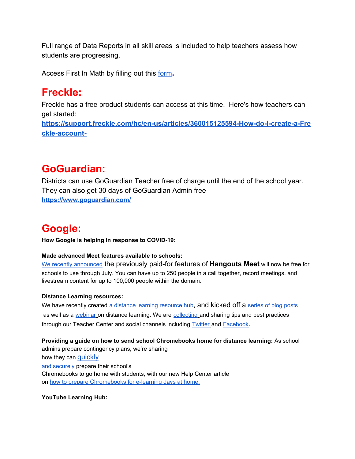Full range of Data Reports in all skill areas is included to help teachers assess how students are progressing.

Access First In Math by filling out this [form](https://milton-web.wnyric.org/canit/urlproxy.php?_q=aHR0cHM6Ly9leHBsb3JlLmZpcnN0aW5tYXRoLmNvbS9maXJzdC1pbi1tYXRoLXJlcXVlc3Q%2FY2M9dXM%3D&_s=ZXJpZTE%3D&_c=c7f98dfc)**.**

## **Freckle:**

Freckle has a free product students can access at this time. Here's how teachers can get started:

**[https://support.freckle.com/hc/en-us/articles/360015125594-How-do-I-create-a-Fre](https://milton-web.wnyric.org/canit/urlproxy.php?_q=aHR0cHM6Ly9zdXBwb3J0LmZyZWNrbGUuY29tL2hjL2VuLXVzL2FydGljbGVzLzM2MDAxNTEyNTU5NC1Ib3ctZG8tSS1jcmVhdGUtYS1GcmVja2xlLWFjY291bnQt&_s=ZXJpZTE%3D&_c=5d0dc98d) [ckle-account-](https://milton-web.wnyric.org/canit/urlproxy.php?_q=aHR0cHM6Ly9zdXBwb3J0LmZyZWNrbGUuY29tL2hjL2VuLXVzL2FydGljbGVzLzM2MDAxNTEyNTU5NC1Ib3ctZG8tSS1jcmVhdGUtYS1GcmVja2xlLWFjY291bnQt&_s=ZXJpZTE%3D&_c=5d0dc98d)**

# **GoGuardian:**

Districts can use GoGuardian Teacher free of charge until the end of the school year. They can also get 30 days of GoGuardian Admin free **<https://www.goguardian.com/>**

# **Google:**

**How Google is helping in response to COVID-19:**

#### **Made advanced Meet features available to schools:**

We recently [announced](https://milton-web.wnyric.org/canit/urlproxy.php?_q=aHR0cHM6Ly9jbG91ZC5nb29nbGUuY29tL2Jsb2cvcHJvZHVjdHMvZy1zdWl0ZS9oZWxwaW5nLWJ1c2luZXNzZXMtYW5kLXNjaG9vbHMtc3RheS1jb25uZWN0ZWQtaW4tcmVzcG9uc2UtdG8tY29yb25hdmlydXM%3D&_s=ZXJpZTE%3D&_c=33e0bcbd) the previously paid-for features of **Hangouts Meet** will now be free for schools to use through July. You can have up to 250 people in a call together, record meetings, and livestream content for up to 100,000 people within the domain.

#### **Distance Learning resources:**

We have recently create[d](https://milton-web.wnyric.org/canit/urlproxy.php?_q=aHR0cHM6Ly9lZHUuZ29vZ2xlLmNvbS9sYXRlc3QtbmV3cy9jb3ZpZC0xOS1zdXBwb3J0LXJlc291cmNlcy8%2FbW9kYWxfYWN0aXZlPW5vbmUmdG9waWM9dmlldy1hbGw%3D&_s=ZXJpZTE%3D&_c=899ac33e) a distance learning [resource](https://milton-web.wnyric.org/canit/urlproxy.php?_q=aHR0cHM6Ly9lZHUuZ29vZ2xlLmNvbS9sYXRlc3QtbmV3cy9jb3ZpZC0xOS1zdXBwb3J0LXJlc291cmNlcy8%2FbW9kYWxfYWN0aXZlPW5vbmUmdG9waWM9dmlldy1hbGw%3D&_s=ZXJpZTE%3D&_c=899ac33e) hub, [a](https://milton-web.wnyric.org/canit/urlproxy.php?_q=aHR0cHM6Ly93d3cuYmxvZy5nb29nbGUvb3V0cmVhY2gtaW5pdGlhdGl2ZXMvZWR1Y2F0aW9uL2Rpc3RhbmNlbGVhcm5pbmctY292aWQxOS8%3D&_s=ZXJpZTE%3D&_c=39ad5c1c)nd kicked off a [series](https://milton-web.wnyric.org/canit/urlproxy.php?_q=aHR0cHM6Ly93d3cuYmxvZy5nb29nbGUvb3V0cmVhY2gtaW5pdGlhdGl2ZXMvZWR1Y2F0aW9uL2Rpc3RhbmNlbGVhcm5pbmctY292aWQxOS8%3D&_s=ZXJpZTE%3D&_c=39ad5c1c) of blog posts as well as [a](https://milton-web.wnyric.org/canit/urlproxy.php?_q=aHR0cHM6Ly9lZHVjYXRpb25vbmFpci53aXRoZ29vZ2xlLmNvbS9ldmVudHMvZGlzdGFuY2VsZWFybmluZw%3D%3D&_s=ZXJpZTE%3D&_c=73fb6732) [webinar](https://milton-web.wnyric.org/canit/urlproxy.php?_q=aHR0cHM6Ly9lZHVjYXRpb25vbmFpci53aXRoZ29vZ2xlLmNvbS9ldmVudHMvZGlzdGFuY2VsZWFybmluZw%3D%3D&_s=ZXJpZTE%3D&_c=73fb6732) on distance learning. We are [collecting](https://milton-web.wnyric.org/canit/urlproxy.php?_q=aHR0cHM6Ly9kb2NzLmdvb2dsZS5jb20vZm9ybXMvZC9lLzFGQUlwUUxTZjd3M092TDFOckp6cXlzM0k1WVBPQ0ZCZ2tKVzBSOGo2WDFjWFRJekV1X2Y0NGdBL3ZpZXdmb3JtP3VzcD1zZW5kX2Zvcm0%3D&_s=ZXJpZTE%3D&_c=f2048b32) and sharing tips and best practices through our Teacher Center and social channels including **[Twitter](https://milton-web.wnyric.org/canit/urlproxy.php?_q=aHR0cHM6Ly90d2l0dGVyLmNvbS9Hb29nbGVGb3JFZHU%3D&_s=ZXJpZTE%3D&_c=8ed4a759) and [Facebook](https://milton-web.wnyric.org/canit/urlproxy.php?_q=aHR0cHM6Ly93d3cuZmFjZWJvb2suY29tL0dvb2dsZWZvckVkdWNhdGlvbi8%3D&_s=ZXJpZTE%3D&_c=19776ee1)**.

**Providing a guide on how to send school Chromebooks home for distance learning:** As school admins prepare contingency plans, we're sharing how they can [quickly](https://milton-web.wnyric.org/canit/urlproxy.php?_q=aHR0cHM6Ly93d3cuYmxvZy5nb29nbGUvb3V0cmVhY2gtaW5pdGlhdGl2ZXMvZWR1Y2F0aW9uL2NvdmlkMTktY2hyb21lYm9va3Mv&_s=ZXJpZTE%3D&_c=bc8920dd) and [securely](https://milton-web.wnyric.org/canit/urlproxy.php?_q=aHR0cHM6Ly93d3cuYmxvZy5nb29nbGUvb3V0cmVhY2gtaW5pdGlhdGl2ZXMvZWR1Y2F0aW9uL2NvdmlkMTktY2hyb21lYm9va3Mv&_s=ZXJpZTE%3D&_c=bc8920dd) prepare their school's Chromebooks to go home with students, with our new Help Center article o[n](https://milton-web.wnyric.org/canit/urlproxy.php?_q=aHR0cHM6Ly9zdXBwb3J0Lmdvb2dsZS5jb20vY2hyb21lL2EvYW5zd2VyLzk3NzM3MDI%3D&_s=ZXJpZTE%3D&_c=68b8a28b) how to prepare [Chromebooks](https://milton-web.wnyric.org/canit/urlproxy.php?_q=aHR0cHM6Ly9zdXBwb3J0Lmdvb2dsZS5jb20vY2hyb21lL2EvYW5zd2VyLzk3NzM3MDI%3D&_s=ZXJpZTE%3D&_c=68b8a28b) for e-learning days at home.

#### **YouTube Learning Hub:**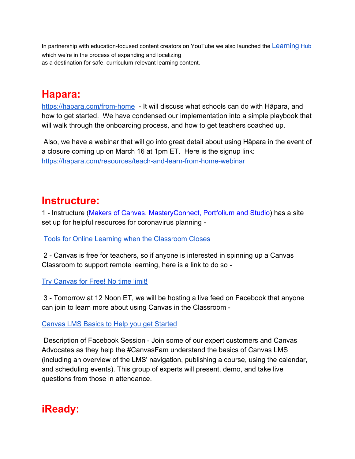In partnership with education-focused content creators on YouTube we also launched the [Learning](https://milton-web.wnyric.org/canit/urlproxy.php?_q=aHR0cHM6Ly93d3cueW91dHViZS5jb20vY2hhbm5lbC9VQ2R4cG9mckktZE82b1lmc3FIREhwaHc%3D&_s=ZXJpZTE%3D&_c=15010896) [Hub](https://milton-web.wnyric.org/canit/urlproxy.php?_q=aHR0cHM6Ly93d3cueW91dHViZS5jb20vY2hhbm5lbC9VQ2R4cG9mckktZE82b1lmc3FIREhwaHc%3D&_s=ZXJpZTE%3D&_c=15010896) which we're in the process of expanding and localizing as a destination for safe, curriculum-relevant learning content.

## **Hapara:**

[https://hapara.com/from-home](https://milton-web.wnyric.org/canit/urlproxy.php?_q=aHR0cHM6Ly9oYXBhcmEuY29tL2Zyb20taG9tZS8%3D&_s=ZXJpZTE%3D&_c=b97e4af3) - It will discuss what schools can do with Hāpara, and how to get started. We have condensed our implementation into a simple playbook that will walk through the onboarding process, and how to get teachers coached up.

 Also, we have a webinar that will go into great detail about using Hāpara in the event of a closure coming up on March 16 at 1pm ET. Here is the signup link: [https://hapara.com/resources/teach-and-learn-from-home-webinar](https://milton-web.wnyric.org/canit/urlproxy.php?_q=aHR0cHM6Ly9oYXBhcmEuY29tL3Jlc291cmNlcy90ZWFjaC1hbmQtbGVhcm4tZnJvbS1ob21lLXdlYmluYXIv&_s=ZXJpZTE%3D&_c=d21e36c9)

## **Instructure:**

1 - Instructure (Makers of Canvas, MasteryConnect, Portfolium and Studio) has a site set up for helpful resources for coronavirus planning -

[Tools for Online Learning when the Classroom Closes](https://milton-web.wnyric.org/canit/urlproxy.php?_q=aHR0cHM6Ly93d3cuaW5zdHJ1Y3R1cmUuY29tL2NhbnZhcy90b29scy1mb3Itb25saW5lLWxlYXJuaW5nP21rdF90b2s9ZXlKcElqb2lXV3BWTUZwSFdtbGFWR1JxVGpKRk15SXNJblFpT2lKRk5EUlBYQzk2Y1cxb1NTdENOSGhTZG01WVNFWkljRk50V0hSMVIwMUdZbFkwUTBaNFVqRTBSbUpZY21sNWMzVkRlR2xUZFdGSlRXRmxWalI1VWxGWVQwcEVXRzVGUkdab1hDOVRUVmgyYjJKVWMxaE1TV0ZuUFQwaWZRJTNEJTNE&_s=ZXJpZTE%3D&_c=f3fa1e02)

 2 - Canvas is free for teachers, so if anyone is interested in spinning up a Canvas Classroom to support remote learning, here is a link to do so -

[Try Canvas for Free! No time limit!](https://milton-web.wnyric.org/canit/urlproxy.php?_q=aHR0cHM6Ly93d3cuaW5zdHJ1Y3R1cmUuY29tL2NhbnZhcy90cnktY2FudmFzI2ZyZWUtYWNjb3VudA%3D%3D&_s=ZXJpZTE%3D&_c=8deb7562)

 3 - Tomorrow at 12 Noon ET, we will be hosting a live feed on Facebook that anyone can join to learn more about using Canvas in the Classroom -

[Canvas LMS Basics to Help you get Started](https://milton-web.wnyric.org/canit/urlproxy.php?_q=aHR0cHM6Ly93d3cuZmFjZWJvb2suY29tL0NhbnZhc0xNUy92aWRlb3MvNTMzODYwNTkwNTczODQzLw%3D%3D&_s=ZXJpZTE%3D&_c=a346bc04)

 Description of Facebook Session - Join some of our expert customers and Canvas Advocates as they help the #CanvasFam understand the basics of Canvas LMS (including an overview of the LMS' navigation, publishing a course, using the calendar, and scheduling events). This group of experts will present, demo, and take live questions from those in attendance.

# **iReady:**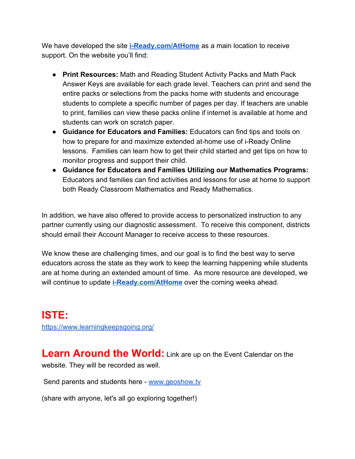We have developed the site **[i-Ready.com/AtHome](https://milton-web.wnyric.org/canit/urlproxy.php?_q=aHR0cDovL3d3dy5pLXJlYWR5LmNvbS9BdEhvbWU%3D&_s=ZXJpZTE%3D&_c=65bcf5b0)** as a main location to receive support. On the website you'll find:

- **Print Resources:** Math and Reading Student Activity Packs and Math Pack Answer Keys are available for each grade level. Teachers can print and send the entire packs or selections from the packs home with students and encourage students to complete a specific number of pages per day. If teachers are unable to print, families can view these packs online if internet is available at home and students can work on scratch paper.
- **Guidance for Educators and Families:** Educators can find tips and tools on how to prepare for and maximize extended at-home use of i-Ready Online lessons. Families can learn how to get their child started and get tips on how to monitor progress and support their child.
- **Guidance for Educators and Families Utilizing our Mathematics Programs:** Educators and families can find activities and lessons for use at home to support both Ready Classroom Mathematics and Ready Mathematics.

In addition, we have also offered to provide access to personalized instruction to any partner currently using our diagnostic assessment. To receive this component, districts should email their Account Manager to receive access to these resources.

We know these are challenging times, and our goal is to find the best way to serve educators across the state as they work to keep the learning happening while students are at home during an extended amount of time. As more resource are developed, we will continue to update **[i-Ready.com/AtHome](https://milton-web.wnyric.org/canit/urlproxy.php?_q=aHR0cDovL3d3dy5pLXJlYWR5LmNvbS9BdEhvbWU%3D&_s=ZXJpZTE%3D&_c=65bcf5b0)** over the coming weeks ahead.

**ISTE:** <https://www.learningkeepsgoing.org/>

**Learn Around the World:** Link are up on the Event Calendar on the website. They will be recorded as well.

Send parents and students here - [www.geoshow.tv](http://www.geoshow.tv/)

(share with anyone, let's all go exploring together!)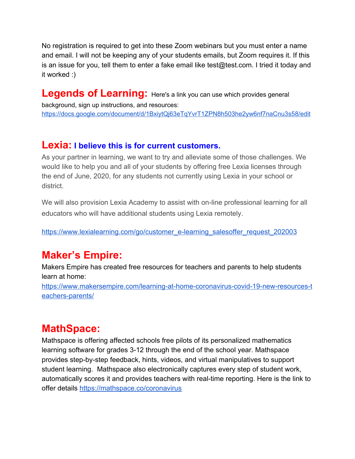No registration is required to get into these Zoom webinars but you must enter a name and email. I will not be keeping any of your students emails, but Zoom requires it. If this is an issue for you, tell them to enter a fake email like test@test.com. I tried it today and it worked :)

# Legends of Learning: Here's a link you can use which provides general

background, sign up instructions, and resources: [https://docs.google.com/document/d/1BxiytQj63eTqYvrT1ZPN8h503he2yw6nf7naCnu3s58/edit](https://milton-web.wnyric.org/canit/urlproxy.php?_q=aHR0cHM6Ly9kb2NzLmdvb2dsZS5jb20vZG9jdW1lbnQvZC8xQnhpeXRRajYzZVRxWXZyVDFaUE44aDUwM2hlMnl3Nm5mN25hQ251M3M1OC9lZGl0&_s=ZXJpZTE%3D&_c=1bb3ea30)

### **Lexia: I believe this is for current customers.**

As your partner in learning, we want to try and alleviate some of those challenges. We would like to help you and all of your students by offering free Lexia licenses through the end of June, 2020, for any students not currently using Lexia in your school or district.

We will also provision Lexia Academy to assist with on-line professional learning for all educators who will have additional students using Lexia remotely.

[https://www.lexialearning.com/go/customer\\_e-learning\\_salesoffer\\_request\\_202003](https://www.lexialearning.com/go/customer_e-learning_salesoffer_request_202003)

# **Maker's Empire:**

Makers Empire has created free resources for teachers and parents to help students learn at home:

[https://www.makersempire.com/learning-at-home-coronavirus-covid-19-new-resources-t](https://milton-web.wnyric.org/canit/urlproxy.php?_q=aHR0cHM6Ly93d3cubWFrZXJzZW1waXJlLmNvbS9sZWFybmluZy1hdC1ob21lLWNvcm9uYXZpcnVzLWNvdmlkLTE5LW5ldy1yZXNvdXJjZXMtdGVhY2hlcnMtcGFyZW50cy8%3D&_s=ZXJpZTE%3D&_c=fe0c9ff4) [eachers-parents/](https://milton-web.wnyric.org/canit/urlproxy.php?_q=aHR0cHM6Ly93d3cubWFrZXJzZW1waXJlLmNvbS9sZWFybmluZy1hdC1ob21lLWNvcm9uYXZpcnVzLWNvdmlkLTE5LW5ldy1yZXNvdXJjZXMtdGVhY2hlcnMtcGFyZW50cy8%3D&_s=ZXJpZTE%3D&_c=fe0c9ff4)

## **MathSpace:**

Mathspace is offering affected schools free pilots of its personalized mathematics learning software for grades 3-12 through the end of the school year. Mathspace provides step-by-step feedback, hints, videos, and virtual manipulatives to support student learning. Mathspace also electronically captures every step of student work, automatically scores it and provides teachers with real-time reporting. Here is the link to offer details [https://mathspace.co/coronavirus](https://milton-web.wnyric.org/canit/urlproxy.php?_q=aHR0cHM6Ly9tYXRoc3BhY2UuY28vY29yb25hdmlydXM%3D&_s=ZXJpZTE%3D&_c=643080ac)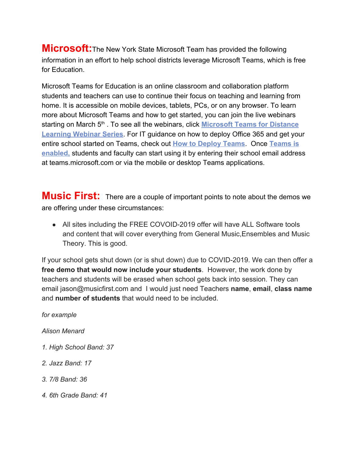**Microsoft:**The New York State Microsoft Team has provided the following information in an effort to help school districts leverage Microsoft Teams, which is free for Education.

Microsoft Teams for Education is an online classroom and collaboration platform students and teachers can use to continue their focus on teaching and learning from home. It is accessible on mobile devices, tablets, PCs, or on any browser. To learn more about Microsoft Teams and how to get started, you can join the live webinars starting on March 5<sup>th</sup>. To see all the webinars, click **[Microsoft Teams for Distance](https://link.zixcentral.com/u/5e6908ba/Ph8Fd-Re6hGaaQqsIYY8jw?u=https%3A%2F%2Fnam06.safelinks.protection.outlook.com%2F%3Furl%3Dhttps%253A%252F%252Fmicrosoftteams.eventbuilder.com%252FTeamsEducation%26data%3D02%257C01%257Cchluey%2540microsoft.com%257C02978d899d904798907708d7c1117014%257C72f988bf86f141af91ab2d7cd011db47%257C1%257C0%257C637190152944059696%26sdata%3D3VllQInhCathOjKNH8prbHDFz3EiFrUaQ%252Fnvi0tTC8I%253D%26reserved%3D0) [Learning Webinar Series](https://link.zixcentral.com/u/5e6908ba/Ph8Fd-Re6hGaaQqsIYY8jw?u=https%3A%2F%2Fnam06.safelinks.protection.outlook.com%2F%3Furl%3Dhttps%253A%252F%252Fmicrosoftteams.eventbuilder.com%252FTeamsEducation%26data%3D02%257C01%257Cchluey%2540microsoft.com%257C02978d899d904798907708d7c1117014%257C72f988bf86f141af91ab2d7cd011db47%257C1%257C0%257C637190152944059696%26sdata%3D3VllQInhCathOjKNH8prbHDFz3EiFrUaQ%252Fnvi0tTC8I%253D%26reserved%3D0)**. For IT guidance on how to deploy Office 365 and get your entire school started on Teams, check out **[How to Deploy Teams](https://link.zixcentral.com/u/04cd5f88/UF0Fd-Re6hGiwAqsIYY8jw?u=https%3A%2F%2Fnam06.safelinks.protection.outlook.com%2F%3Furl%3Dhttps%253A%252F%252Fdocs.microsoft.com%252Fen-us%252FMicrosoftTeams%252Fremote-learning-edu%26data%3D02%257C01%257Cchluey%2540microsoft.com%257C02978d899d904798907708d7c1117014%257C72f988bf86f141af91ab2d7cd011db47%257C1%257C0%257C637190152944079686%26sdata%3DeNj2sdSCMT3MVeB5bL2JqBkdH8d2CbeYX7bzsqaG618%253D%26reserved%3D0)**. Once **[Teams is](https://link.zixcentral.com/u/d1f23cf2/YpEFd-Re6hGrBQqsIYY8jw?u=https%3A%2F%2Fnam06.safelinks.protection.outlook.com%2F%3Furl%3Dhttps%253A%252F%252Fdocs.microsoft.com%252Fen-us%252Fmicrosoft-365%252Feducation%252Fintune-edu-trial%252Fenable-microsoft-teams%26data%3D02%257C01%257Cchluey%2540microsoft.com%257C02978d899d904798907708d7c1117014%257C72f988bf86f141af91ab2d7cd011db47%257C1%257C0%257C637190152944079686%26sdata%3DssYy4lptVc8Z9It2uRs7mj6I46FLWybsxp2IwMvPpV8%253D%26reserved%3D0) [enabled,](https://link.zixcentral.com/u/d1f23cf2/YpEFd-Re6hGrBQqsIYY8jw?u=https%3A%2F%2Fnam06.safelinks.protection.outlook.com%2F%3Furl%3Dhttps%253A%252F%252Fdocs.microsoft.com%252Fen-us%252Fmicrosoft-365%252Feducation%252Fintune-edu-trial%252Fenable-microsoft-teams%26data%3D02%257C01%257Cchluey%2540microsoft.com%257C02978d899d904798907708d7c1117014%257C72f988bf86f141af91ab2d7cd011db47%257C1%257C0%257C637190152944079686%26sdata%3DssYy4lptVc8Z9It2uRs7mj6I46FLWybsxp2IwMvPpV8%253D%26reserved%3D0)** students and faculty can start using it by entering their school email address at teams.microsoft.com or via the mobile or desktop Teams applications.

**Music First:** There are a couple of important points to note about the demos we are offering under these circumstances:

• All sites including the FREE COVOID-2019 offer will have ALL Software tools and content that will cover everything from General Music,Ensembles and Music Theory. This is good.

If your school gets shut down (or is shut down) due to COVID-2019. We can then offer a **free demo that would now include your students**. However, the work done by teachers and students will be erased when school gets back into session. They can email jason@musicfirst.com and I would just need Teachers **name**, **email**, **class name** and **number of students** that would need to be included.

*for example*

*Alison Menard*

- *1. High School Band: 37*
- *2. Jazz Band: 17*
- *3. 7/8 Band: 36*
- *4. 6th Grade Band: 41*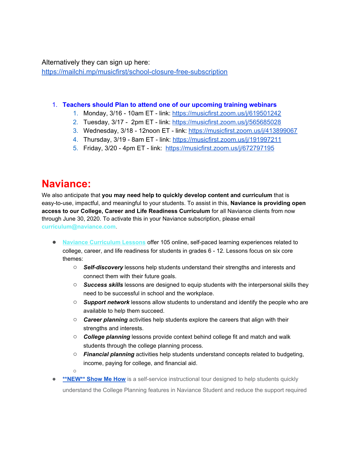Alternatively they can sign up here:

[https://mailchi.mp/musicfirst/school-closure-free-subscription](https://milton-web.wnyric.org/canit/urlproxy.php?_q=aHR0cHM6Ly9tYWlsY2hpLm1wL211c2ljZmlyc3Qvc2Nob29sLWNsb3N1cmUtZnJlZS1zdWJzY3JpcHRpb24%3D&_s=ZXJpZTE%3D&_c=94bfe885)

#### 1. **Teachers should Plan to attend one of our upcoming training webinars**

- 1. Monday, 3/16 10am ET link: [https://musicfirst.zoom.us/j/619501242](https://milton-web.wnyric.org/canit/urlproxy.php?_q=aHR0cHM6Ly9tdXNpY2ZpcnN0Lnpvb20udXMvai82MTk1MDEyNDI%3D&_s=ZXJpZTE%3D&_c=f38c1521)
- 2. Tuesday, 3/17 2pm ET link: [https://musicfirst.zoom.us/j/565685028](https://milton-web.wnyric.org/canit/urlproxy.php?_q=aHR0cHM6Ly9tdXNpY2ZpcnN0Lnpvb20udXMvai81NjU2ODUwMjg%3D&_s=ZXJpZTE%3D&_c=685908ce)
- 3. Wednesday, 3/18 12noon ET link: [https://musicfirst.zoom.us/j/413899067](https://milton-web.wnyric.org/canit/urlproxy.php?_q=aHR0cHM6Ly9tdXNpY2ZpcnN0Lnpvb20udXMvai80MTM4OTkwNjc%3D&_s=ZXJpZTE%3D&_c=50fa9452)
- 4. Thursday, 3/19 8am ET link: [https://musicfirst.zoom.us/j/191997211](https://milton-web.wnyric.org/canit/urlproxy.php?_q=aHR0cHM6Ly9tdXNpY2ZpcnN0Lnpvb20udXMvai8xOTE5OTcyMTE%3D&_s=ZXJpZTE%3D&_c=fbface58)
- 5. Friday, 3/20 4pm ET link: [https://musicfirst.zoom.us/j/672797195](https://milton-web.wnyric.org/canit/urlproxy.php?_q=aHR0cHM6Ly9tdXNpY2ZpcnN0Lnpvb20udXMvai82NzI3OTcxOTU%3D&_s=ZXJpZTE%3D&_c=d3027c2d)

## **Naviance:**

We also anticipate that **you may need help to quickly develop content and curriculum** that is easy-to-use, impactful, and meaningful to your students. To assist in this, **Naviance is providing open access to our College, Career and Life Readiness Curriculum** for all Naviance clients from now through June 30, 2020. To activate this in your Naviance subscription, please email **curriculum@naviance.com**.

- **Naviance [Curriculum](https://milton-web.wnyric.org/canit/urlproxy.php?_q=aHR0cHM6Ly9oZWxwLm5hdmlhbmNlLmNvbS9Db250ZW50L0RvY3VtZW50cy9HZW5lcmFsL25hdmlhbmNlJTIwY3VycmljdWx1bV9zY29wZSUyMGFuZCUyMHNlcXVlbmNlLnBkZj91dG1fY2FtcGFpZ249MDMxMzIwJTIwLSUyMEsxMiUyMC0lMjBDb3JvbmF2aXJ1cyUyMGVtYWlsJTIwdG8lMjBDbGllbnRzJnV0bV9tZWRpdW09ZW1haWwmdXRtX3NvdXJjZT1FbG9xdWEmZWxxVHJhY2tJZD00MWY3NTY4MzBkMDU0OTk0YTM4MWE2NTcxN2QxYjdhZiZlbHE9MDk0Y2NjOTUxOGI0NDgwNjljNDBlMmQ3NmNhMzQzMGImZWxxYWlkPTcwNDUmZWxxYXQ9MSZlbHFDYW1wYWlnbklkPTU2ODM%3D&_s=ZXJpZTE%3D&_c=9b16faac) Lessons** offer 105 online, self-paced learning experiences related to college, career, and life readiness for students in grades 6 - 12. Lessons focus on six core themes:
	- *Self-discovery* lessons help students understand their strengths and interests and connect them with their future goals.
	- *Success skills* lessons are designed to equip students with the interpersonal skills they need to be successful in school and the workplace.
	- *Support network* lessons allow students to understand and identify the people who are available to help them succeed.
	- *Career planning* activities help students explore the careers that align with their strengths and interests.
	- *College planning* lessons provide context behind college fit and match and walk students through the college planning process.
	- *Financial planning* activities help students understand concepts related to budgeting, income, paying for college, and financial aid.
	- $\Omega$
- **[\\*\\*NEW\\*\\*](https://milton-web.wnyric.org/canit/urlproxy.php?_q=aHR0cHM6Ly93d3cuc2NyZWVuY2FzdC5jb20vdC9FVjFvTkhnWlNNU3o%2FdXRtX2NhbXBhaWduPTAzMTMyMCUyMC0lMjBLMTIlMjAtJTIwQ29yb25hdmlydXMlMjBlbWFpbCUyMHRvJTIwQ2xpZW50cyZ1dG1fbWVkaXVtPWVtYWlsJnV0bV9zb3VyY2U9RWxvcXVhJmVscVRyYWNrSWQ9MzNjYTdhYTljYmFiNDk5YmFkY2UwZmZlNDE2NWZjNTAmZWxxPTA5NGNjYzk1MThiNDQ4MDY5YzQwZTJkNzZjYTM0MzBiJmVscWFpZD03MDQ1JmVscWF0PTEmZWxxQ2FtcGFpZ25JZD01Njgz&_s=ZXJpZTE%3D&_c=3b136400) Show Me How** is a self-service instructional tour designed to help students quickly understand the College Planning features in Naviance Student and reduce the support required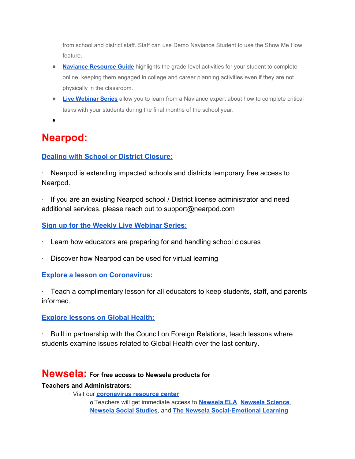from school and district staff. Staff can use Demo Naviance Student to use the Show Me How feature.

- **Naviance [Resource](https://milton-web.wnyric.org/canit/urlproxy.php?_q=aHR0cHM6Ly9oZWxwLm5hdmlhbmNlLmNvbS9Db250ZW50L0RvY3VtZW50cy9HZW5lcmFsL05hdmlhbmNlX1Jlc291cmNlX0d1aWRlXzAzMTYyMC5wZGY%2FdXRtX2NhbXBhaWduPTAzMTMyMCUyMC0lMjBLMTIlMjAtJTIwQ29yb25hdmlydXMlMjBlbWFpbCUyMHRvJTIwQ2xpZW50cyZ1dG1fbWVkaXVtPWVtYWlsJnV0bV9zb3VyY2U9RWxvcXVhJmVscVRyYWNrSWQ9NTFkYzhlMThiNjAyNGQ2NmI3N2JiYjRiMDBjYTRlZWMmZWxxPTA5NGNjYzk1MThiNDQ4MDY5YzQwZTJkNzZjYTM0MzBiJmVscWFpZD03MDQ1JmVscWF0PTEmZWxxQ2FtcGFpZ25JZD01Njgz&_s=ZXJpZTE%3D&_c=e75f2f7f) Guide** highlights the grade-level activities for your student to complete online, keeping them engaged in college and career planning activities even if they are not physically in the classroom.
- **Live [Webinar](https://milton-web.wnyric.org/canit/urlproxy.php?_q=aHR0cHM6Ly9oZWxwLm5hdmlhbmNlLmNvbS9Db250ZW50L0RvY3VtZW50cy9HZW5lcmFsL1dlYmluYXJzX0NvbXBsZXRpbmdfQ3JpdGljYWxfWWVhci1FbmRfVGFza3NfaW5fTmF2aWFuY2VfLnBkZj91dG1fY2FtcGFpZ249MDMxMzIwJTIwLSUyMEsxMiUyMC0lMjBDb3JvbmF2aXJ1cyUyMGVtYWlsJTIwdG8lMjBDbGllbnRzJnV0bV9tZWRpdW09ZW1haWwmdXRtX3NvdXJjZT1FbG9xdWEmZWxxVHJhY2tJZD0wMDI4Mjc0ZjI3MzM0NzA1OTI5MzgwNDA4NDc4ZTBkYyZlbHE9MDk0Y2NjOTUxOGI0NDgwNjljNDBlMmQ3NmNhMzQzMGImZWxxYWlkPTcwNDUmZWxxYXQ9MSZlbHFDYW1wYWlnbklkPTU2ODM%3D&_s=ZXJpZTE%3D&_c=f3a1898e) Series** allow you to learn from a Naviance expert about how to complete critical tasks with your students during the final months of the school year.
- ●

# **Nearpod:**

### **[Dealing with School or District Closure:](https://nearpod.com/coronavirus)**

· Nearpod is extending impacted schools and districts temporary free access to Nearpod.

· If you are an existing Nearpod school / District license administrator and need additional services, please reach out to support@nearpod.com

### **[Sign up for the Weekly Live Webinar Series:](https://nearpod.com/blog/resources/#calendarLiveWebinar)**

- · Learn how educators are preparing for and handling school closures
- Discover how Nearpod can be used for virtual learning

### **[Explore a lesson on Coronavirus:](https://nearpod.com/t/science/8th-grade/20192020-coronavirus-outbreak-L45638321)**

· Teach a complimentary lesson for all educators to keep students, staff, and parents informed.

### **[Explore lessons on Global Health:](https://nearpod.com/t/global-health-B19127)**

Built in partnership with the Council on Foreign Relations, teach lessons where students examine issues related to Global Health over the last century.

### **Newsela: For free access to Newsela products for**

### **Teachers and Administrators:**

· Visit our **[coronavirus resource center](https://milton-web.wnyric.org/canit/urlproxy.php?_q=aHR0cDovL2VtbC5uZXdzZWxhLmNvbS9kRDBnMGpjdnUwMEUwMDBQMFMxMjBaMA%3D%3D&_s=ZXJpZTE%3D&_c=86859b4f)**

o Teachers will get immediate access t[o](https://milton-web.wnyric.org/canit/urlproxy.php?_q=aHR0cDovL2VtbC5uZXdzZWxhLmNvbS9CajAxVFoyRXYwMDAwMHVQMDBkZzAwRA%3D%3D&_s=ZXJpZTE%3D&_c=803bac76) **[Newsela ELA](https://milton-web.wnyric.org/canit/urlproxy.php?_q=aHR0cDovL2VtbC5uZXdzZWxhLmNvbS9CajAxVFoyRXYwMDAwMHVQMDBkZzAwRA%3D%3D&_s=ZXJpZTE%3D&_c=803bac76)**, **[Newsela Science](https://milton-web.wnyric.org/canit/urlproxy.php?_q=aHR0cDovL2VtbC5uZXdzZWxhLmNvbS9FMUQwWjAwVVBlMDB2MDBFMnUwMGcwag%3D%3D&_s=ZXJpZTE%3D&_c=4ba84ad7)**[,](https://milton-web.wnyric.org/canit/urlproxy.php?_q=aHR0cDovL2VtbC5uZXdzZWxhLmNvbS9wMDAwMFoxalZFMDAwZnZQRGcwMDB1Mg%3D%3D&_s=ZXJpZTE%3D&_c=a54e4c2f) **[Newsela Social Studies](https://milton-web.wnyric.org/canit/urlproxy.php?_q=aHR0cDovL2VtbC5uZXdzZWxhLmNvbS9wMDAwMFoxalZFMDAwZnZQRGcwMDB1Mg%3D%3D&_s=ZXJpZTE%3D&_c=a54e4c2f)**, and **[The Newsela Social-Emotional Learning](https://milton-web.wnyric.org/canit/urlproxy.php?_q=aHR0cDovL2VtbC5uZXdzZWxhLmNvbS9sdVAwVzAwMGdqMDAxRTJEMDB2MGcwWg%3D%3D&_s=ZXJpZTE%3D&_c=c4b06fa4)**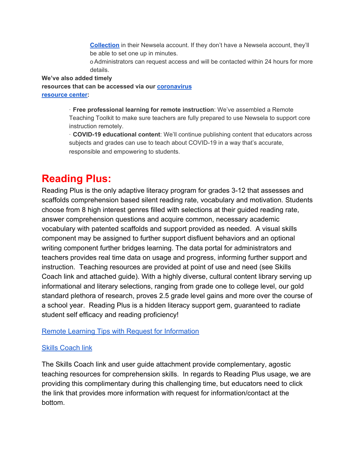**[Collection](https://milton-web.wnyric.org/canit/urlproxy.php?_q=aHR0cDovL2VtbC5uZXdzZWxhLmNvbS9sdVAwVzAwMGdqMDAxRTJEMDB2MGcwWg%3D%3D&_s=ZXJpZTE%3D&_c=c4b06fa4)** in their Newsela account. If they don't have a Newsela account, they'll be able to set one up in minutes.

o Administrators can request access and will be contacted within 24 hours for more details.

**We've also added timely resources that can be accessed via our [coronavirus](https://milton-web.wnyric.org/canit/urlproxy.php?_q=aHR0cDovL2VtbC5uZXdzZWxhLmNvbS9kRDBnMGpjdnUwMEUwMDBQMFMxMjBaMA%3D%3D&_s=ZXJpZTE%3D&_c=86859b4f) [resource center:](https://milton-web.wnyric.org/canit/urlproxy.php?_q=aHR0cDovL2VtbC5uZXdzZWxhLmNvbS9kRDBnMGpjdnUwMEUwMDBQMFMxMjBaMA%3D%3D&_s=ZXJpZTE%3D&_c=86859b4f)**

> · **Free professional learning for remote instruction**: We've assembled a Remote Teaching Toolkit to make sure teachers are fully prepared to use Newsela to support core instruction remotely.

> · **COVID-19 educational content**: We'll continue publishing content that educators across subjects and grades can use to teach about COVID-19 in a way that's accurate, responsible and empowering to students.

# **Reading Plus:**

Reading Plus is the only adaptive literacy program for grades 3-12 that assesses and scaffolds comprehension based silent reading rate, vocabulary and motivation. Students choose from 8 high interest genres filled with selections at their guided reading rate, answer comprehension questions and acquire common, necessary academic vocabulary with patented scaffolds and support provided as needed. A visual skills component may be assigned to further support disfluent behaviors and an optional writing component further bridges learning. The data portal for administrators and teachers provides real time data on usage and progress, informing further support and instruction. Teaching resources are provided at point of use and need (see Skills Coach link and attached guide). With a highly diverse, cultural content library serving up informational and literary selections, ranging from grade one to college level, our gold standard plethora of research, proves 2.5 grade level gains and more over the course of a school year. Reading Plus is a hidden literacy support gem, guaranteed to radiate student self efficacy and reading proficiency!

[Remote Learning Tips with Request for Information](https://milton-web.wnyric.org/canit/urlproxy.php?_q=aHR0cHM6Ly90cmFja2luZy5jaXJydXNpbnNpZ2h0LmNvbS8yZDNiM2Q2ZC03ZGZhLTRlMzQtODdkNi03YjZjNmRlYjI1N2UvYmxvZy1yZWFkaW5ncGx1cy1jb20tNS1mYWN0b3JzLXJlbW90ZS1sZWFybmluZy1kdXJpbmctY2xvc3VyZXM%3D&_s=ZXJpZTE%3D&_c=a4948571)

### [Skills Coach link](https://milton-web.wnyric.org/canit/urlproxy.php?_q=aHR0cHM6Ly90cmFja2luZy5jaXJydXNpbnNpZ2h0LmNvbS9lYTMzM2VmNS0yMDhmLTRmZDMtOGY2Yi04NDI0ZTJiNzEwNjMvc2tpbGxzY29hY2gtcmVhZGluZ3BsdXMtY29t&_s=ZXJpZTE%3D&_c=45d7eef3)

The Skills Coach link and user guide attachment provide complementary, agostic teaching resources for comprehension skills. In regards to Reading Plus usage, we are providing this complimentary during this challenging time, but educators need to click the link that provides more information with request for information/contact at the bottom.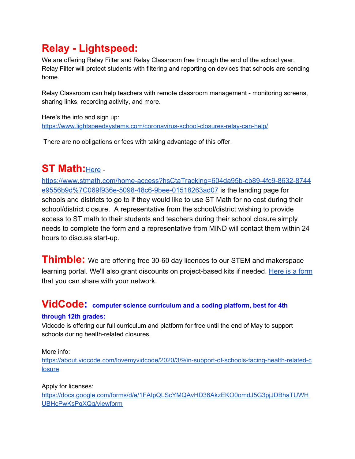# **Relay - Lightspeed:**

We are offering Relay Filter and Relay Classroom free through the end of the school year. Relay Filter will protect students with filtering and reporting on devices that schools are sending home.

Relay Classroom can help teachers with remote classroom management - monitoring screens, sharing links, recording activity, and more.

Here's the info and sign up: [https://www.lightspeedsystems.com/coronavirus-school-closures-relay-can-help/](https://milton-web.wnyric.org/canit/urlproxy.php?_q=aHR0cHM6Ly93d3cubGlnaHRzcGVlZHN5c3RlbXMuY29tL2Nvcm9uYXZpcnVzLXNjaG9vbC1jbG9zdXJlcy1yZWxheS1jYW4taGVscC8%3D&_s=ZXJpZTE%3D&_c=7d189d33)

There are no obligations or fees with taking advantage of this offer.

# **ST Math:**[Here](https://milton-web.wnyric.org/canit/urlproxy.php?_q=aHR0cHM6Ly93d3cuc3RtYXRoLmNvbS9ob21lLWFjY2Vzcz9oc0N0YVRyYWNraW5nPTYwNGRhOTViLWNiODktNGZjOS04NjMyLTg3NDRlOTU1NmI5ZCU3QzA2OWY5MzZlLTUwOTgtNDhjNi05YmVlLTAxNTE4MjYzYWQwNw%3D%3D&_s=ZXJpZTE%3D&_c=09684c23) -

[https://www.stmath.com/home-access?hsCtaTracking=604da95b-cb89-4fc9-8632-8744](https://www.stmath.com/home-access?hsCtaTracking=604da95b-cb89-4fc9-8632-8744e9556b9d%7C069f936e-5098-48c6-9bee-01518263ad07) [e9556b9d%7C069f936e-5098-48c6-9bee-01518263ad07](https://www.stmath.com/home-access?hsCtaTracking=604da95b-cb89-4fc9-8632-8744e9556b9d%7C069f936e-5098-48c6-9bee-01518263ad07) is the landing page for schools and districts to go to if they would like to use ST Math for no cost during their school/district closure. A representative from the school/district wishing to provide access to ST math to their students and teachers during their school closure simply needs to complete the form and a representative from MIND will contact them within 24 hours to discuss start-up.

**Thimble:** We are offering free 30-60 day licences to our STEM and makerspace learning portal. We'll also grant discounts on project-based kits if needed. [Here is a form](https://milton-web.wnyric.org/canit/urlproxy.php?_q=aHR0cHM6Ly9mb3Jtcy5nbGUvTkpUeUF1eTRiTTdTSFBWZTY%3D&_s=ZXJpZTE%3D&_c=1c2cb728) that you can share with your network.

## **VidCode: computer science curriculum and <sup>a</sup> coding platform, best for 4th**

### **through 12th grades:**

Vidcode is offering our full curriculum and platform for free until the end of May to support schools during health-related closures.

### More info:

[https://about.vidcode.com/lovemyvidcode/2020/3/9/in-support-of-schools-facing-health-related-c](https://about.vidcode.com/lovemyvidcode/2020/3/9/in-support-of-schools-facing-health-related-closure) **[losure](https://about.vidcode.com/lovemyvidcode/2020/3/9/in-support-of-schools-facing-health-related-closure)** 

### Apply for licenses:

[https://docs.google.com/forms/d/e/1FAIpQLScYMQAvHD36AkzEKO0omdJ5G3pjJDBhaTUWH](https://docs.google.com/forms/d/e/1FAIpQLScYMQAvHD36AkzEKO0omdJ5G3pjJDBhaTUWHUBHcPwKsPgXQg/viewform) [UBHcPwKsPgXQg/viewform](https://docs.google.com/forms/d/e/1FAIpQLScYMQAvHD36AkzEKO0omdJ5G3pjJDBhaTUWHUBHcPwKsPgXQg/viewform)